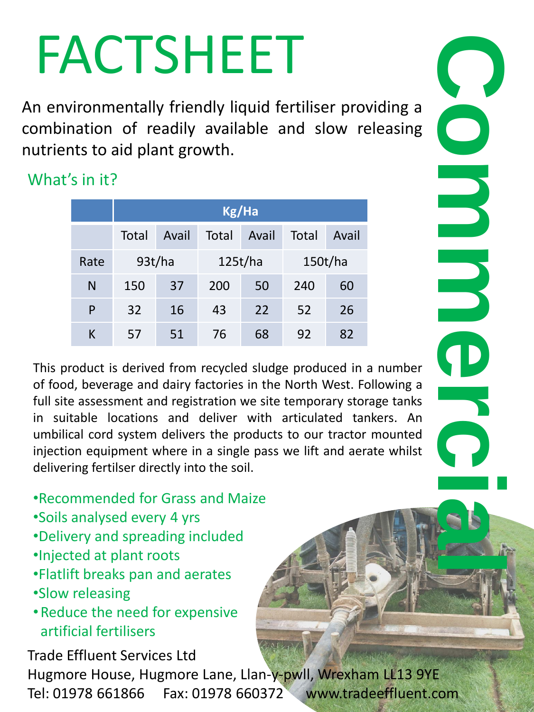## FACTSHEET

An environmentally friendly liquid fertiliser providing a combination of readily available and slow releasing nutrients to aid plant growth.

What's in it?

|      | Kg/Ha  |       |         |       |         |       |  |  |
|------|--------|-------|---------|-------|---------|-------|--|--|
|      | Total  | Avail | Total   | Avail | Total   | Avail |  |  |
| Rate | 93t/ha |       | 125t/ha |       | 150t/ha |       |  |  |
| N    | 150    | 37    | 200     | 50    | 240     | 60    |  |  |
| P    | 32     | 16    | 43      | 22    | 52      | 26    |  |  |
| К    | 57     | 51    | 76      | 68    | 92      | 82    |  |  |

Tel: 01978 661866 Fax: 01978 661866 Fax: 01978 661866 Fax: 01978 661866 Fax: 01978 661866 Fax: 01978 661972 Tel: 01978 661866 Fax: 01978 661866 Fax: 01978 661866 Fax: 01978 661866 Fax: 01978 661866 Fax: 01978 661866 Fax: 0 This product is derived from recycled sludge produced in a number of food, beverage and dairy factories in the North West. Following a full site assessment and registration we site temporary storage tanks in suitable locations and deliver with articulated tankers. An umbilical cord system delivers the products to our tractor mounted injection equipment where in a single pass we lift and aerate whilst delivering fertilser directly into the soil.

•Recommended for Grass and Maize

- •Soils analysed every 4 yrs
- •Delivery and spreading included
- •Injected at plant roots
- •Flatlift breaks pan and aerates
- •Slow releasing
- •Reduce the need for expensive artificial fertilisers

Trade Effluent Services Ltd Hugmore House, Hugmore Lane, Llan-y-pwll, Wrexham LL13 9YE